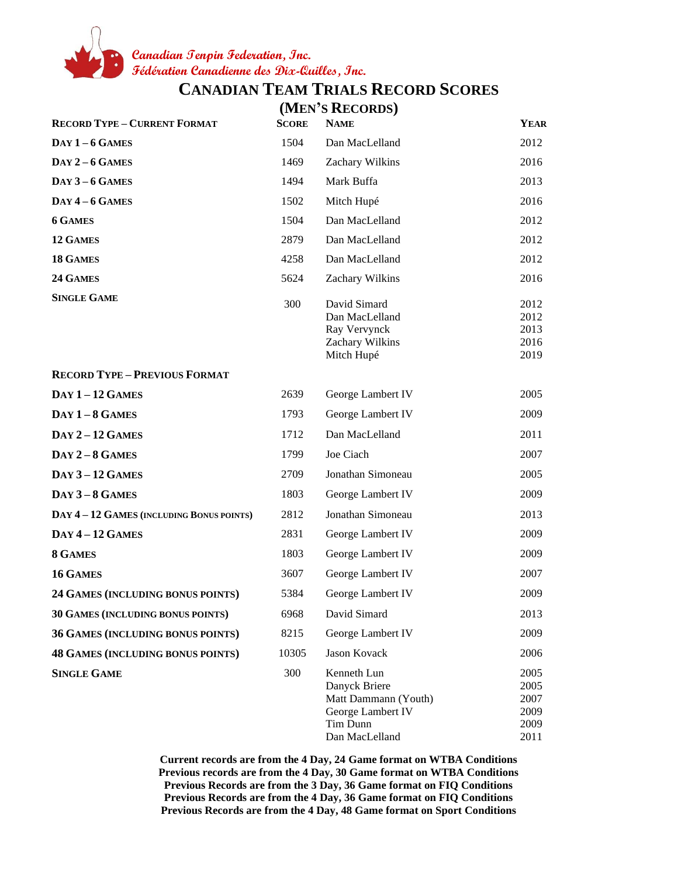**Canadian Tenpin Federation, Inc. Fédération Canadienne des Dix-Quilles, Inc.**

**CANADIAN TEAM TRIALS RECORD SCORES**

|                                          | (MEN'S RECORDS) |                                                                                                         |                                              |
|------------------------------------------|-----------------|---------------------------------------------------------------------------------------------------------|----------------------------------------------|
| <b>RECORD TYPE - CURRENT FORMAT</b>      | <b>SCORE</b>    | <b>NAME</b>                                                                                             | <b>YEAR</b>                                  |
| $Day 1-6 GAMES$                          | 1504            | Dan MacLelland                                                                                          | 2012                                         |
| $Day 2-6$ GAMES                          | 1469            | Zachary Wilkins                                                                                         | 2016                                         |
| $Day 3-6$ GAMES                          | 1494            | Mark Buffa                                                                                              | 2013                                         |
| $\bf{DAY}$ 4 – 6 GAMES                   | 1502            | Mitch Hupé                                                                                              | 2016                                         |
| <b>6 GAMES</b>                           | 1504            | Dan MacLelland                                                                                          | 2012                                         |
| 12 GAMES                                 | 2879            | Dan MacLelland                                                                                          | 2012                                         |
| 18 GAMES                                 | 4258            | Dan MacLelland                                                                                          | 2012                                         |
| 24 GAMES                                 | 5624            | Zachary Wilkins                                                                                         | 2016                                         |
| <b>SINGLE GAME</b>                       | 300             | David Simard<br>Dan MacLelland<br>Ray Vervynck<br>Zachary Wilkins<br>Mitch Hupé                         | 2012<br>2012<br>2013<br>2016<br>2019         |
| <b>RECORD TYPE - PREVIOUS FORMAT</b>     |                 |                                                                                                         |                                              |
| $DAY 1 - 12$ GAMES                       | 2639            | George Lambert IV                                                                                       | 2005                                         |
| $Day 1-8$ GAMES                          | 1793            | George Lambert IV                                                                                       | 2009                                         |
| $DAY 2 - 12$ GAMES                       | 1712            | Dan MacLelland                                                                                          | 2011                                         |
| $Day 2-8$ GAMES                          | 1799            | Joe Ciach                                                                                               | 2007                                         |
| <b>DAY 3-12 GAMES</b>                    | 2709            | Jonathan Simoneau                                                                                       | 2005                                         |
| $Day 3-8$ GAMES                          | 1803            | George Lambert IV                                                                                       | 2009                                         |
| DAY 4-12 GAMES (INCLUDING BONUS POINTS)  | 2812            | Jonathan Simoneau                                                                                       | 2013                                         |
| $DAY 4 - 12$ GAMES                       | 2831            | George Lambert IV                                                                                       | 2009                                         |
| 8 GAMES                                  | 1803            | George Lambert IV                                                                                       | 2009                                         |
| 16 GAMES                                 | 3607            | George Lambert IV                                                                                       | 2007                                         |
| <b>24 GAMES (INCLUDING BONUS POINTS)</b> | 5384            | George Lambert IV                                                                                       | 2009                                         |
| 30 GAMES (INCLUDING BONUS POINTS)        | 6968            | David Simard                                                                                            | 2013                                         |
| 36 GAMES (INCLUDING BONUS POINTS)        | 8215            | George Lambert IV                                                                                       | 2009                                         |
| <b>48 GAMES (INCLUDING BONUS POINTS)</b> | 10305           | Jason Kovack                                                                                            | 2006                                         |
| <b>SINGLE GAME</b>                       | 300             | Kenneth Lun<br>Danyck Briere<br>Matt Dammann (Youth)<br>George Lambert IV<br>Tim Dunn<br>Dan MacLelland | 2005<br>2005<br>2007<br>2009<br>2009<br>2011 |

**Current records are from the 4 Day, 24 Game format on WTBA Conditions Previous records are from the 4 Day, 30 Game format on WTBA Conditions Previous Records are from the 3 Day, 36 Game format on FIQ Conditions Previous Records are from the 4 Day, 36 Game format on FIQ Conditions Previous Records are from the 4 Day, 48 Game format on Sport Conditions**